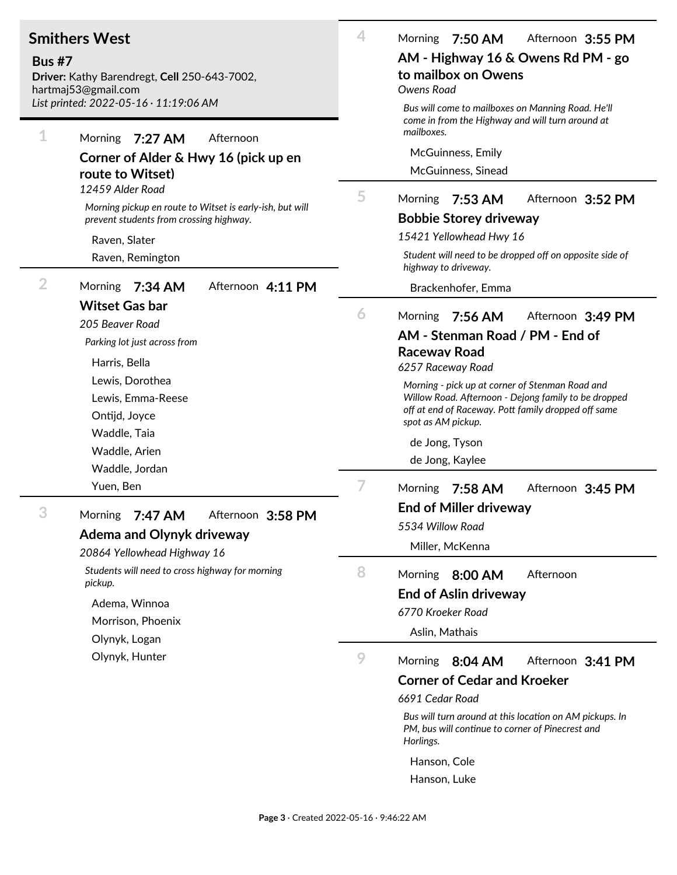## **Smithers West**

**Bus #7**

**Driver:** Kathy Barendregt, **Cell** 250-643-7002, hartmaj53@gmail.com

| hartmaj53@gmail.com<br>List printed: 2022-05-16 · 11:19:06 AM |                                                                                                                 | Owens Road<br>Bus will come to mailboxes on Manning Road. He'll |                                                                                                                          |
|---------------------------------------------------------------|-----------------------------------------------------------------------------------------------------------------|-----------------------------------------------------------------|--------------------------------------------------------------------------------------------------------------------------|
| 1                                                             | Morning<br>7:27 AM<br>Afternoon<br>Corner of Alder & Hwy 16 (pick up en<br>route to Witset)<br>12459 Alder Road |                                                                 | come in from the Highway and will turn around at<br>mailboxes.                                                           |
|                                                               |                                                                                                                 |                                                                 | McGuinness, Emily                                                                                                        |
|                                                               |                                                                                                                 |                                                                 | McGuinness, Sinead                                                                                                       |
|                                                               |                                                                                                                 |                                                                 |                                                                                                                          |
|                                                               | Morning pickup en route to Witset is early-ish, but will                                                        | 5                                                               | <b>Morning</b><br>$7:53$ AM<br>Afternoon 3:52 PM                                                                         |
|                                                               | prevent students from crossing highway.                                                                         |                                                                 | <b>Bobbie Storey driveway</b>                                                                                            |
|                                                               | Raven, Slater                                                                                                   |                                                                 | 15421 Yellowhead Hwy 16                                                                                                  |
|                                                               | Raven, Remington                                                                                                |                                                                 | Student will need to be dropped off on opposite side of<br>highway to driveway.                                          |
| $\overline{2}$                                                | <b>Morning</b><br>Afternoon 4:11 PM<br>7:34 AM                                                                  |                                                                 | Brackenhofer, Emma                                                                                                       |
|                                                               | <b>Witset Gas bar</b>                                                                                           | 6                                                               | Morning<br>7:56 AM<br>Afternoon 3:49 PM                                                                                  |
|                                                               | 205 Beaver Road                                                                                                 |                                                                 | AM - Stenman Road / PM - End of                                                                                          |
|                                                               | Parking lot just across from                                                                                    |                                                                 | <b>Raceway Road</b>                                                                                                      |
|                                                               | Harris, Bella                                                                                                   |                                                                 | 6257 Raceway Road                                                                                                        |
|                                                               | Lewis, Dorothea                                                                                                 |                                                                 | Morning - pick up at corner of Stenman Road and                                                                          |
|                                                               | Lewis, Emma-Reese                                                                                               |                                                                 | Willow Road. Afternoon - Dejong family to be dropped<br>off at end of Raceway. Pott family dropped off same              |
|                                                               | Ontijd, Joyce                                                                                                   |                                                                 | spot as AM pickup.                                                                                                       |
|                                                               | Waddle, Taia                                                                                                    |                                                                 | de Jong, Tyson                                                                                                           |
|                                                               | Waddle, Arien                                                                                                   |                                                                 | de Jong, Kaylee                                                                                                          |
|                                                               | Waddle, Jordan                                                                                                  |                                                                 |                                                                                                                          |
|                                                               | Yuen, Ben                                                                                                       | 7                                                               | 7:58 AM<br>Morning<br>Afternoon 3:45 PM                                                                                  |
| 3                                                             | 7:47 AM<br><b>Morning</b><br>Afternoon 3:58 PM                                                                  |                                                                 | <b>End of Miller driveway</b>                                                                                            |
|                                                               | <b>Adema and Olynyk driveway</b>                                                                                |                                                                 | 5534 Willow Road                                                                                                         |
|                                                               | 20864 Yellowhead Highway 16                                                                                     |                                                                 | Miller, McKenna                                                                                                          |
|                                                               | Students will need to cross highway for morning<br>pickup.                                                      | 8                                                               | 8:00 AM<br>Afternoon<br>Morning                                                                                          |
|                                                               |                                                                                                                 |                                                                 | <b>End of Aslin driveway</b>                                                                                             |
|                                                               | Adema, Winnoa                                                                                                   |                                                                 | 6770 Kroeker Road                                                                                                        |
|                                                               | Morrison, Phoenix                                                                                               |                                                                 | Aslin, Mathais                                                                                                           |
|                                                               | Olynyk, Logan                                                                                                   |                                                                 |                                                                                                                          |
|                                                               | Olynyk, Hunter                                                                                                  | 9                                                               | Afternoon 3:41 PM<br>Morning<br>8:04 AM                                                                                  |
|                                                               |                                                                                                                 |                                                                 | <b>Corner of Cedar and Kroeker</b>                                                                                       |
|                                                               |                                                                                                                 |                                                                 | 6691 Cedar Road                                                                                                          |
|                                                               |                                                                                                                 |                                                                 | Bus will turn around at this location on AM pickups. In<br>PM, bus will continue to corner of Pinecrest and<br>Horlings. |
|                                                               |                                                                                                                 |                                                                 | Hanson, Cole                                                                                                             |

Hanson, Luke

**AM - Highway 16 & Owens Rd PM - go**

**4** Morning **7:50 AM** A@ernoon **3:55 PM**

**to mailbox on Owens**